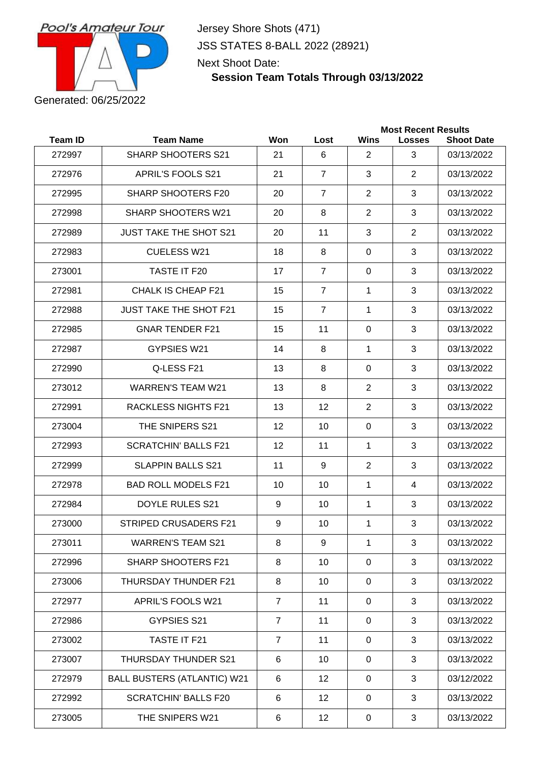

Jersey Shore Shots (471) JSS STATES 8-BALL 2022 (28921) Next Shoot Date:

### **Session Team Totals Through 03/13/2022**

|                |                                    |                |                |                | <b>Most Recent Results</b> |                   |
|----------------|------------------------------------|----------------|----------------|----------------|----------------------------|-------------------|
| <b>Team ID</b> | <b>Team Name</b>                   | Won            | Lost           | Wins           | <b>Losses</b>              | <b>Shoot Date</b> |
| 272997         | <b>SHARP SHOOTERS S21</b>          | 21             | 6              | 2              | 3                          | 03/13/2022        |
| 272976         | <b>APRIL'S FOOLS S21</b>           | 21             | $\overline{7}$ | 3              | 2                          | 03/13/2022        |
| 272995         | SHARP SHOOTERS F20                 | 20             | $\overline{7}$ | 2              | 3                          | 03/13/2022        |
| 272998         | <b>SHARP SHOOTERS W21</b>          | 20             | 8              | 2              | 3                          | 03/13/2022        |
| 272989         | <b>JUST TAKE THE SHOT S21</b>      | 20             | 11             | 3              | $\overline{2}$             | 03/13/2022        |
| 272983         | <b>CUELESS W21</b>                 | 18             | 8              | $\Omega$       | 3                          | 03/13/2022        |
| 273001         | TASTE IT F20                       | 17             | $\overline{7}$ | 0              | 3                          | 03/13/2022        |
| 272981         | CHALK IS CHEAP F21                 | 15             | $\overline{7}$ | 1              | 3                          | 03/13/2022        |
| 272988         | <b>JUST TAKE THE SHOT F21</b>      | 15             | $\overline{7}$ | $\mathbf{1}$   | 3                          | 03/13/2022        |
| 272985         | <b>GNAR TENDER F21</b>             | 15             | 11             | $\mathbf{0}$   | 3                          | 03/13/2022        |
| 272987         | GYPSIES W21                        | 14             | 8              | 1              | 3                          | 03/13/2022        |
| 272990         | Q-LESS F21                         | 13             | 8              | 0              | 3                          | 03/13/2022        |
| 273012         | <b>WARREN'S TEAM W21</b>           | 13             | 8              | $\overline{2}$ | 3                          | 03/13/2022        |
| 272991         | <b>RACKLESS NIGHTS F21</b>         | 13             | 12             | 2              | 3                          | 03/13/2022        |
| 273004         | THE SNIPERS S21                    | 12             | 10             | $\Omega$       | 3                          | 03/13/2022        |
| 272993         | <b>SCRATCHIN' BALLS F21</b>        | 12             | 11             | 1              | 3                          | 03/13/2022        |
| 272999         | <b>SLAPPIN BALLS S21</b>           | 11             | 9              | 2              | 3                          | 03/13/2022        |
| 272978         | <b>BAD ROLL MODELS F21</b>         | 10             | 10             | 1              | 4                          | 03/13/2022        |
| 272984         | <b>DOYLE RULES S21</b>             | 9              | 10             | $\mathbf{1}$   | 3                          | 03/13/2022        |
| 273000         | <b>STRIPED CRUSADERS F21</b>       | 9              | 10             | 1              | 3                          | 03/13/2022        |
| 273011         | <b>WARREN'S TEAM S21</b>           | 8              | 9              | 1              | 3                          | 03/13/2022        |
| 272996         | <b>SHARP SHOOTERS F21</b>          | 8              | 10             | $\mathbf 0$    | 3                          | 03/13/2022        |
| 273006         | THURSDAY THUNDER F21               | 8              | 10             | $\mathbf 0$    | 3                          | 03/13/2022        |
| 272977         | <b>APRIL'S FOOLS W21</b>           | $\overline{7}$ | 11             | $\mathbf 0$    | 3                          | 03/13/2022        |
| 272986         | <b>GYPSIES S21</b>                 | $\overline{7}$ | 11             | $\mathbf 0$    | 3                          | 03/13/2022        |
| 273002         | TASTE IT F21                       | $\overline{7}$ | 11             | $\mathbf 0$    | 3                          | 03/13/2022        |
| 273007         | THURSDAY THUNDER S21               | 6              | 10             | 0              | 3                          | 03/13/2022        |
| 272979         | <b>BALL BUSTERS (ATLANTIC) W21</b> | 6              | 12             | $\mathbf 0$    | 3                          | 03/12/2022        |
| 272992         | <b>SCRATCHIN' BALLS F20</b>        | $\,6$          | 12             | $\mathbf 0$    | 3                          | 03/13/2022        |
| 273005         | THE SNIPERS W21                    | 6              | 12             | $\mathbf 0$    | 3                          | 03/13/2022        |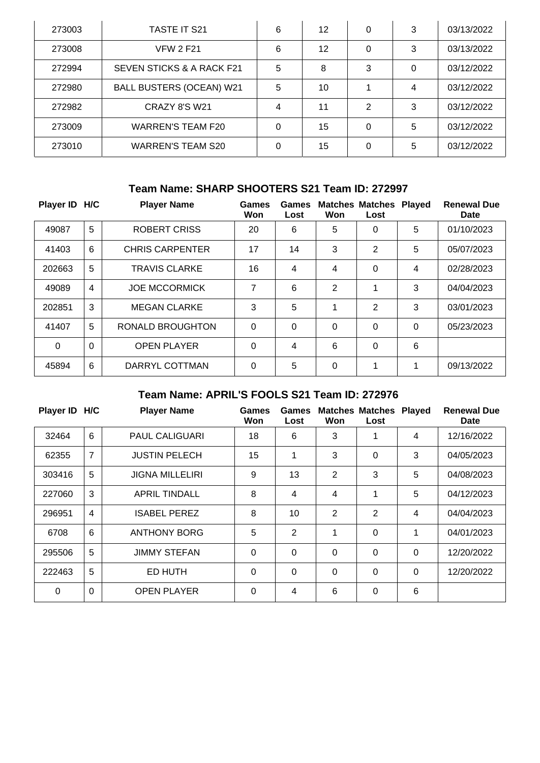| 273003 | <b>TASTE IT S21</b>                  | 6        | 12 | 0        | 3 | 03/13/2022 |
|--------|--------------------------------------|----------|----|----------|---|------------|
| 273008 | <b>VFW 2 F21</b>                     | 6        | 12 | 0        | 3 | 03/13/2022 |
| 272994 | <b>SEVEN STICKS &amp; A RACK F21</b> | 5        | 8  | 3        | 0 | 03/12/2022 |
| 272980 | <b>BALL BUSTERS (OCEAN) W21</b>      | 5        | 10 |          | 4 | 03/12/2022 |
| 272982 | CRAZY 8'S W21                        | 4        | 11 | 2        | 3 | 03/12/2022 |
| 273009 | <b>WARREN'S TEAM F20</b>             | 0        | 15 | 0        | 5 | 03/12/2022 |
| 273010 | <b>WARREN'S TEAM S20</b>             | $\Omega$ | 15 | $\Omega$ | 5 | 03/12/2022 |

## **Team Name: SHARP SHOOTERS S21 Team ID: 272997**

| Player ID H/C |          | <b>Player Name</b>     | <b>Games</b><br>Won | Games<br>Lost | Won      | <b>Matches Matches</b><br>Lost | <b>Played</b> | <b>Renewal Due</b><br>Date |
|---------------|----------|------------------------|---------------------|---------------|----------|--------------------------------|---------------|----------------------------|
| 49087         | 5        | <b>ROBERT CRISS</b>    | 20                  | 6             | 5        | 0                              | 5             | 01/10/2023                 |
| 41403         | 6        | <b>CHRIS CARPENTER</b> | 17                  | 14            | 3        | 2                              | 5             | 05/07/2023                 |
| 202663        | 5        | <b>TRAVIS CLARKE</b>   | 16                  | 4             | 4        | 0                              | 4             | 02/28/2023                 |
| 49089         | 4        | <b>JOE MCCORMICK</b>   | 7                   | 6             | 2        | 1                              | 3             | 04/04/2023                 |
| 202851        | 3        | <b>MEGAN CLARKE</b>    | 3                   | 5             | 1        | 2                              | 3             | 03/01/2023                 |
| 41407         | 5        | RONALD BROUGHTON       | $\Omega$            | $\mathbf 0$   | $\Omega$ | 0                              | $\Omega$      | 05/23/2023                 |
| $\Omega$      | $\Omega$ | <b>OPEN PLAYER</b>     | $\Omega$            | 4             | 6        | 0                              | 6             |                            |
| 45894         | 6        | DARRYL COTTMAN         | $\Omega$            | 5             | $\Omega$ | 1                              | 1             | 09/13/2022                 |

## **Team Name: APRIL'S FOOLS S21 Team ID: 272976**

| Player ID H/C |                | <b>Player Name</b>     | Games<br>Won | <b>Games</b><br>Lost | Won            | <b>Matches Matches Played</b><br>Lost |                | <b>Renewal Due</b><br><b>Date</b> |
|---------------|----------------|------------------------|--------------|----------------------|----------------|---------------------------------------|----------------|-----------------------------------|
| 32464         | 6              | <b>PAUL CALIGUARI</b>  | 18           | 6                    | 3              |                                       | $\overline{4}$ | 12/16/2022                        |
| 62355         | $\overline{7}$ | <b>JUSTIN PELECH</b>   | 15           | 1                    | 3              | 0                                     | 3              | 04/05/2023                        |
| 303416        | 5              | <b>JIGNA MILLELIRI</b> | 9            | 13                   | $\overline{2}$ | 3                                     | 5              | 04/08/2023                        |
| 227060        | 3              | <b>APRIL TINDALL</b>   | 8            | $\overline{4}$       | 4              | 1                                     | 5              | 04/12/2023                        |
| 296951        | $\overline{4}$ | <b>ISABEL PEREZ</b>    | 8            | 10                   | $\overline{2}$ | 2                                     | $\overline{4}$ | 04/04/2023                        |
| 6708          | 6              | <b>ANTHONY BORG</b>    | 5            | $\overline{2}$       | 1              | 0                                     | 1              | 04/01/2023                        |
| 295506        | 5              | <b>JIMMY STEFAN</b>    | $\mathbf{0}$ | $\Omega$             | $\Omega$       | 0                                     | $\Omega$       | 12/20/2022                        |
| 222463        | 5              | ED HUTH                | $\mathbf{0}$ | $\mathbf 0$          | $\Omega$       | 0                                     | $\mathbf{0}$   | 12/20/2022                        |
| $\Omega$      | $\Omega$       | <b>OPEN PLAYER</b>     | $\mathbf{0}$ | 4                    | 6              | 0                                     | 6              |                                   |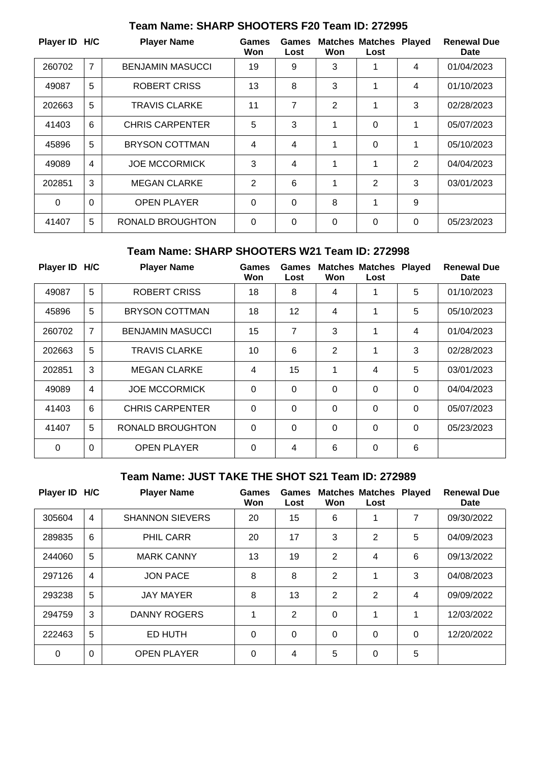| Player ID H/C |                | <b>Player Name</b>      | Games<br>Won   | Games<br>Lost | Won            | <b>Matches Matches</b><br>Lost | <b>Played</b> | <b>Renewal Due</b><br>Date |
|---------------|----------------|-------------------------|----------------|---------------|----------------|--------------------------------|---------------|----------------------------|
| 260702        | $\overline{7}$ | <b>BENJAMIN MASUCCI</b> | 19             | 9             | 3              | 1                              | 4             | 01/04/2023                 |
| 49087         | 5              | ROBERT CRISS            | 13             | 8             | 3              | 1                              | 4             | 01/10/2023                 |
| 202663        | 5              | <b>TRAVIS CLARKE</b>    | 11             | 7             | $\overline{2}$ | 1                              | 3             | 02/28/2023                 |
| 41403         | 6              | <b>CHRIS CARPENTER</b>  | 5              | 3             | 1              | $\Omega$                       | 1             | 05/07/2023                 |
| 45896         | 5              | <b>BRYSON COTTMAN</b>   | 4              | 4             | 1              | 0                              | 1             | 05/10/2023                 |
| 49089         | 4              | <b>JOE MCCORMICK</b>    | 3              | 4             | 1              | 1                              | 2             | 04/04/2023                 |
| 202851        | 3              | <b>MEGAN CLARKE</b>     | $\overline{2}$ | 6             | 1              | $\overline{2}$                 | 3             | 03/01/2023                 |
| 0             | $\Omega$       | <b>OPEN PLAYER</b>      | $\mathbf{0}$   | $\Omega$      | 8              | 1                              | 9             |                            |
| 41407         | 5              | <b>RONALD BROUGHTON</b> | $\Omega$       | $\mathbf{0}$  | 0              | 0                              | $\Omega$      | 05/23/2023                 |

## **Team Name: SHARP SHOOTERS F20 Team ID: 272995**

#### **Team Name: SHARP SHOOTERS W21 Team ID: 272998**

| Player ID H/C |                | <b>Player Name</b>      | <b>Games</b><br>Won | Games<br>Lost  | Won            | <b>Matches Matches</b><br>Lost | <b>Played</b> | <b>Renewal Due</b><br><b>Date</b> |
|---------------|----------------|-------------------------|---------------------|----------------|----------------|--------------------------------|---------------|-----------------------------------|
| 49087         | 5              | <b>ROBERT CRISS</b>     | 18                  | 8              | 4              | 1                              | 5             | 01/10/2023                        |
| 45896         | 5              | <b>BRYSON COTTMAN</b>   | 18                  | 12             | 4              | 1                              | 5             | 05/10/2023                        |
| 260702        | $\overline{7}$ | <b>BENJAMIN MASUCCI</b> | 15                  | 7              | 3              | 1                              | 4             | 01/04/2023                        |
| 202663        | 5              | <b>TRAVIS CLARKE</b>    | 10                  | 6              | $\overline{2}$ | 1                              | 3             | 02/28/2023                        |
| 202851        | 3              | <b>MEGAN CLARKE</b>     | $\overline{4}$      | 15             | 1              | 4                              | 5             | 03/01/2023                        |
| 49089         | $\overline{4}$ | <b>JOE MCCORMICK</b>    | $\Omega$            | $\overline{0}$ | $\mathbf 0$    | 0                              | $\Omega$      | 04/04/2023                        |
| 41403         | 6              | <b>CHRIS CARPENTER</b>  | $\mathbf 0$         | $\mathbf 0$    | $\Omega$       | 0                              | $\Omega$      | 05/07/2023                        |
| 41407         | 5              | <b>RONALD BROUGHTON</b> | $\Omega$            | $\mathbf 0$    | $\mathbf 0$    | 0                              | $\Omega$      | 05/23/2023                        |
| $\Omega$      | $\Omega$       | <b>OPEN PLAYER</b>      | $\Omega$            | 4              | 6              | 0                              | 6             |                                   |

### **Team Name: JUST TAKE THE SHOT S21 Team ID: 272989**

| <b>Player ID</b> | H/C            | <b>Player Name</b>     | <b>Games</b><br>Won | <b>Games</b><br>Lost | Won            | <b>Matches Matches Played</b><br>Lost |          | <b>Renewal Due</b><br>Date |
|------------------|----------------|------------------------|---------------------|----------------------|----------------|---------------------------------------|----------|----------------------------|
| 305604           | $\overline{4}$ | <b>SHANNON SIEVERS</b> | 20                  | 15                   | 6              |                                       | 7        | 09/30/2022                 |
| 289835           | 6              | <b>PHIL CARR</b>       | 20                  | 17                   | 3              | 2                                     | 5        | 04/09/2023                 |
| 244060           | 5              | <b>MARK CANNY</b>      | 13                  | 19                   | $\overline{2}$ | 4                                     | 6        | 09/13/2022                 |
| 297126           | $\overline{4}$ | <b>JON PACE</b>        | 8                   | 8                    | 2              | 4                                     | 3        | 04/08/2023                 |
| 293238           | 5              | <b>JAY MAYER</b>       | 8                   | 13                   | 2              | 2                                     | 4        | 09/09/2022                 |
| 294759           | 3              | DANNY ROGERS           | 1                   | $\mathbf{2}$         | 0              | 1                                     | 1        | 12/03/2022                 |
| 222463           | 5              | ED HUTH                | $\Omega$            | 0                    | 0              | 0                                     | $\Omega$ | 12/20/2022                 |
| $\Omega$         | $\mathbf 0$    | <b>OPEN PLAYER</b>     | 0                   | 4                    | 5              | 0                                     | 5        |                            |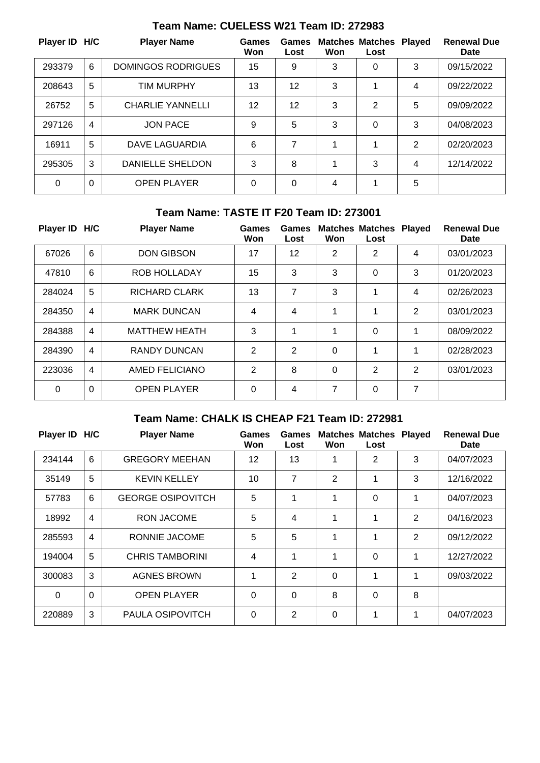| Player ID H/C |          | <b>Player Name</b>        | Games<br>Won | Games<br>Lost | Won | <b>Matches Matches Played</b><br>Lost |   | <b>Renewal Due</b><br><b>Date</b> |
|---------------|----------|---------------------------|--------------|---------------|-----|---------------------------------------|---|-----------------------------------|
| 293379        | 6        | <b>DOMINGOS RODRIGUES</b> | 15           | 9             | 3   | 0                                     | 3 | 09/15/2022                        |
| 208643        | 5        | <b>TIM MURPHY</b>         | 13           | 12            | 3   |                                       | 4 | 09/22/2022                        |
| 26752         | 5        | <b>CHARLIE YANNELLI</b>   | 12           | 12            | 3   | $\overline{2}$                        | 5 | 09/09/2022                        |
| 297126        | 4        | <b>JON PACE</b>           | 9            | 5             | 3   | 0                                     | 3 | 04/08/2023                        |
| 16911         | 5        | DAVE LAGUARDIA            | 6            | 7             | 1   | 1                                     | 2 | 02/20/2023                        |
| 295305        | 3        | <b>DANIELLE SHELDON</b>   | 3            | 8             |     | 3                                     | 4 | 12/14/2022                        |
| $\Omega$      | $\Omega$ | <b>OPEN PLAYER</b>        | $\Omega$     | $\Omega$      | 4   | 1                                     | 5 |                                   |

### **Team Name: CUELESS W21 Team ID: 272983**

### **Team Name: TASTE IT F20 Team ID: 273001**

| <b>Player ID</b> | H/C            | <b>Player Name</b>   | <b>Games</b><br>Won | Games<br>Lost | Won | <b>Matches Matches Played</b><br>Lost |   | <b>Renewal Due</b><br>Date |
|------------------|----------------|----------------------|---------------------|---------------|-----|---------------------------------------|---|----------------------------|
| 67026            | $6\phantom{1}$ | <b>DON GIBSON</b>    | 17                  | 12            | 2   | $\overline{2}$                        | 4 | 03/01/2023                 |
| 47810            | 6              | ROB HOLLADAY         | 15                  | 3             | 3   | 0                                     | 3 | 01/20/2023                 |
| 284024           | 5              | <b>RICHARD CLARK</b> | 13                  | 7             | 3   | 1                                     | 4 | 02/26/2023                 |
| 284350           | $\overline{4}$ | <b>MARK DUNCAN</b>   | 4                   | 4             | 1   | 1                                     | 2 | 03/01/2023                 |
| 284388           | $\overline{4}$ | <b>MATTHEW HEATH</b> | 3                   | 1             | 1   | 0                                     | 1 | 08/09/2022                 |
| 284390           | $\overline{4}$ | <b>RANDY DUNCAN</b>  | $\overline{2}$      | 2             | 0   | 1                                     | 1 | 02/28/2023                 |
| 223036           | $\overline{4}$ | AMED FELICIANO       | 2                   | 8             | 0   | $\overline{2}$                        | 2 | 03/01/2023                 |
| $\Omega$         | $\Omega$       | <b>OPEN PLAYER</b>   | $\Omega$            | 4             | 7   | 0                                     | 7 |                            |

# **Team Name: CHALK IS CHEAP F21 Team ID: 272981**

| Player ID H/C |                | <b>Player Name</b>       | <b>Games</b><br>Won | Games<br>Lost  | Won | <b>Matches Matches Played</b><br>Lost |                | <b>Renewal Due</b><br>Date |
|---------------|----------------|--------------------------|---------------------|----------------|-----|---------------------------------------|----------------|----------------------------|
| 234144        | 6              | <b>GREGORY MEEHAN</b>    | 12                  | 13             |     | 2                                     | 3              | 04/07/2023                 |
| 35149         | 5              | <b>KEVIN KELLEY</b>      | 10                  | 7              | 2   | 1                                     | 3              | 12/16/2022                 |
| 57783         | 6              | <b>GEORGE OSIPOVITCH</b> | 5                   | 1              | 1   | $\Omega$                              | 1              | 04/07/2023                 |
| 18992         | 4              | <b>RON JACOME</b>        | 5                   | 4              | 1   | 1                                     | $\overline{2}$ | 04/16/2023                 |
| 285593        | $\overline{4}$ | RONNIE JACOME            | 5                   | 5              | 1   | 1                                     | 2              | 09/12/2022                 |
| 194004        | 5              | <b>CHRIS TAMBORINI</b>   | 4                   | 1              | 1   | 0                                     | 1              | 12/27/2022                 |
| 300083        | 3              | <b>AGNES BROWN</b>       | 1                   | $\overline{2}$ | 0   | 1                                     | 1              | 09/03/2022                 |
| $\Omega$      | $\mathbf 0$    | <b>OPEN PLAYER</b>       | $\Omega$            | $\overline{0}$ | 8   | 0                                     | 8              |                            |
| 220889        | 3              | PAULA OSIPOVITCH         | 0                   | $\overline{2}$ | 0   | 1                                     | 1              | 04/07/2023                 |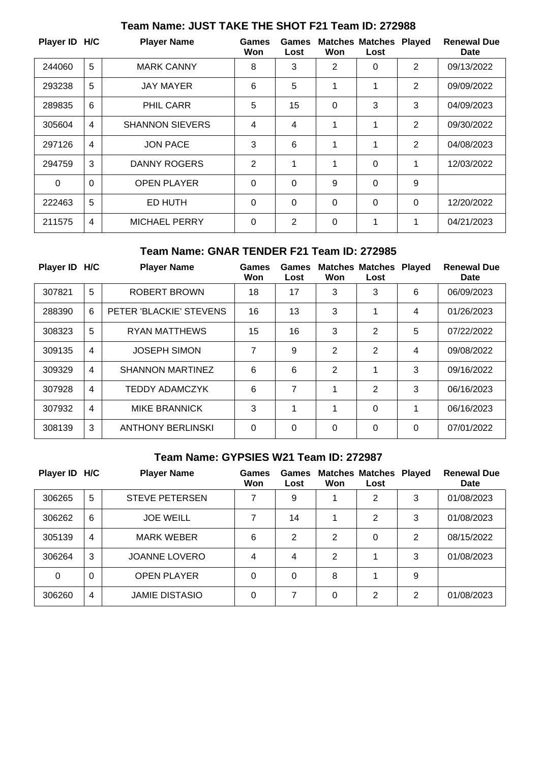| Player ID H/C  |                | <b>Player Name</b>     | <b>Games</b><br>Won | Games<br>Lost  | Won          | <b>Matches Matches</b><br>Lost | <b>Played</b>  | <b>Renewal Due</b><br><b>Date</b> |
|----------------|----------------|------------------------|---------------------|----------------|--------------|--------------------------------|----------------|-----------------------------------|
| 244060         | 5              | <b>MARK CANNY</b>      | 8                   | 3              | 2            | 0                              | 2              | 09/13/2022                        |
| 293238         | 5              | <b>JAY MAYER</b>       | 6                   | 5              | 1            | 1                              | $\overline{2}$ | 09/09/2022                        |
| 289835         | 6              | <b>PHIL CARR</b>       | 5                   | 15             | $\mathbf 0$  | 3                              | 3              | 04/09/2023                        |
| 305604         | $\overline{4}$ | <b>SHANNON SIEVERS</b> | $\overline{4}$      | 4              | 1            | 1                              | 2              | 09/30/2022                        |
| 297126         | $\overline{4}$ | <b>JON PACE</b>        | 3                   | 6              | 1            | 1                              | $\overline{2}$ | 04/08/2023                        |
| 294759         | 3              | <b>DANNY ROGERS</b>    | 2                   | 1              | 1            | 0                              | 1              | 12/03/2022                        |
| $\overline{0}$ | $\mathbf 0$    | <b>OPEN PLAYER</b>     | $\overline{0}$      | $\mathbf 0$    | 9            | 0                              | 9              |                                   |
| 222463         | 5              | ED HUTH                | $\Omega$            | $\Omega$       | $\Omega$     | 0                              | $\Omega$       | 12/20/2022                        |
| 211575         | $\overline{4}$ | <b>MICHAEL PERRY</b>   | 0                   | $\overline{2}$ | $\mathbf{0}$ | 1                              | 1              | 04/21/2023                        |

# **Team Name: JUST TAKE THE SHOT F21 Team ID: 272988**

#### **Team Name: GNAR TENDER F21 Team ID: 272985**

| Player ID H/C |   | <b>Player Name</b>       | <b>Games</b><br>Won | <b>Games</b><br>Lost | Won      | <b>Matches Matches</b><br>Lost | <b>Played</b> | <b>Renewal Due</b><br><b>Date</b> |
|---------------|---|--------------------------|---------------------|----------------------|----------|--------------------------------|---------------|-----------------------------------|
| 307821        | 5 | ROBERT BROWN             | 18                  | 17                   | 3        | 3                              | 6             | 06/09/2023                        |
| 288390        | 6 | PETER 'BLACKIE' STEVENS  | 16                  | 13                   | 3        |                                | 4             | 01/26/2023                        |
| 308323        | 5 | <b>RYAN MATTHEWS</b>     | 15                  | 16                   | 3        | 2                              | 5             | 07/22/2022                        |
| 309135        | 4 | <b>JOSEPH SIMON</b>      | 7                   | 9                    | 2        | $\overline{2}$                 | 4             | 09/08/2022                        |
| 309329        | 4 | <b>SHANNON MARTINEZ</b>  | 6                   | 6                    | 2        | 1                              | 3             | 09/16/2022                        |
| 307928        | 4 | <b>TEDDY ADAMCZYK</b>    | 6                   | 7                    | 1        | 2                              | 3             | 06/16/2023                        |
| 307932        | 4 | <b>MIKE BRANNICK</b>     | 3                   | 1                    | 1        | 0                              | 1             | 06/16/2023                        |
| 308139        | 3 | <b>ANTHONY BERLINSKI</b> | $\Omega$            | 0                    | $\Omega$ | 0                              | $\Omega$      | 07/01/2022                        |

### **Team Name: GYPSIES W21 Team ID: 272987**

| Player ID H/C |   | <b>Player Name</b>    | Games<br>Won | Games<br>Lost  | Won | <b>Matches Matches</b><br>Lost | <b>Played</b> | <b>Renewal Due</b><br>Date |
|---------------|---|-----------------------|--------------|----------------|-----|--------------------------------|---------------|----------------------------|
| 306265        | 5 | <b>STEVE PETERSEN</b> | 7            | 9              |     | 2                              | 3             | 01/08/2023                 |
| 306262        | 6 | <b>JOE WEILL</b>      | 7            | 14             |     | 2                              | 3             | 01/08/2023                 |
| 305139        | 4 | <b>MARK WEBER</b>     | 6            | $\overline{2}$ | 2   | 0                              | 2             | 08/15/2022                 |
| 306264        | 3 | <b>JOANNE LOVERO</b>  | 4            | 4              | 2   | 1                              | 3             | 01/08/2023                 |
| 0             | 0 | <b>OPEN PLAYER</b>    | 0            | 0              | 8   |                                | 9             |                            |
| 306260        | 4 | <b>JAMIE DISTASIO</b> | 0            | 7              | 0   | 2                              | 2             | 01/08/2023                 |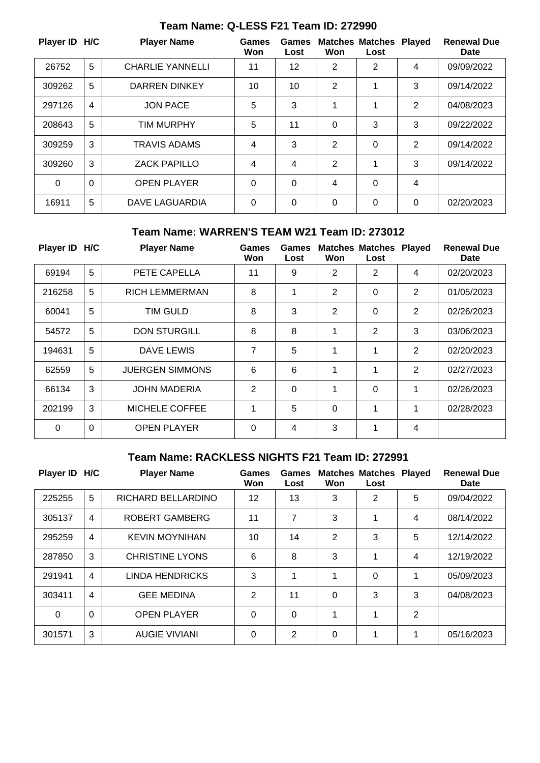| Player ID H/C |          | <b>Player Name</b>      | <b>Games</b><br>Won | Games<br>Lost | Won            | <b>Matches Matches</b><br>Lost | <b>Played</b>  | <b>Renewal Due</b><br><b>Date</b> |
|---------------|----------|-------------------------|---------------------|---------------|----------------|--------------------------------|----------------|-----------------------------------|
| 26752         | 5        | <b>CHARLIE YANNELLI</b> | 11                  | 12            | 2              | 2                              | 4              | 09/09/2022                        |
| 309262        | 5        | <b>DARREN DINKEY</b>    | 10                  | 10            | $\overline{2}$ | 1                              | 3              | 09/14/2022                        |
| 297126        | 4        | <b>JON PACE</b>         | 5                   | 3             | 1              | 1                              | 2              | 04/08/2023                        |
| 208643        | 5        | <b>TIM MURPHY</b>       | 5                   | 11            | 0              | 3                              | 3              | 09/22/2022                        |
| 309259        | 3        | <b>TRAVIS ADAMS</b>     | 4                   | 3             | 2              | 0                              | $\overline{2}$ | 09/14/2022                        |
| 309260        | 3        | <b>ZACK PAPILLO</b>     | $\overline{4}$      | 4             | 2              | 1                              | 3              | 09/14/2022                        |
| $\Omega$      | $\Omega$ | <b>OPEN PLAYER</b>      | $\Omega$            | 0             | 4              | 0                              | $\overline{4}$ |                                   |
| 16911         | 5        | DAVE LAGUARDIA          | 0                   | 0             | 0              | 0                              | $\Omega$       | 02/20/2023                        |

### **Team Name: Q-LESS F21 Team ID: 272990**

#### **Team Name: WARREN'S TEAM W21 Team ID: 273012**

| Player ID H/C |          | <b>Player Name</b>     | Games<br>Won | Games<br>Lost | Won            | <b>Matches Matches Played</b><br>Lost |                | <b>Renewal Due</b><br>Date |
|---------------|----------|------------------------|--------------|---------------|----------------|---------------------------------------|----------------|----------------------------|
| 69194         | 5        | PETE CAPELLA           | 11           | 9             | $\overline{2}$ | $\overline{2}$                        | 4              | 02/20/2023                 |
| 216258        | 5        | <b>RICH LEMMERMAN</b>  | 8            | 1             | $\overline{2}$ | 0                                     | 2              | 01/05/2023                 |
| 60041         | 5        | TIM GULD               | 8            | 3             | 2              | 0                                     | $\overline{2}$ | 02/26/2023                 |
| 54572         | 5        | <b>DON STURGILL</b>    | 8            | 8             | 1              | $\overline{2}$                        | 3              | 03/06/2023                 |
| 194631        | 5        | DAVE LEWIS             | 7            | 5             | 1              | 1                                     | 2              | 02/20/2023                 |
| 62559         | 5        | <b>JUERGEN SIMMONS</b> | 6            | 6             | 1              | 1                                     | $\overline{2}$ | 02/27/2023                 |
| 66134         | 3        | <b>JOHN MADERIA</b>    | 2            | 0             | 1              | 0                                     | 1              | 02/26/2023                 |
| 202199        | 3        | MICHELE COFFEE         | 1            | 5             | 0              | 1                                     | 1              | 02/28/2023                 |
| $\Omega$      | $\Omega$ | <b>OPEN PLAYER</b>     | $\Omega$     | 4             | 3              | 1                                     | $\overline{4}$ |                            |

## **Team Name: RACKLESS NIGHTS F21 Team ID: 272991**

| Player ID H/C |          | <b>Player Name</b>     | <b>Games</b><br>Won | <b>Games</b><br>Lost | Won      | <b>Matches Matches</b><br>Lost | <b>Played</b> | <b>Renewal Due</b><br><b>Date</b> |
|---------------|----------|------------------------|---------------------|----------------------|----------|--------------------------------|---------------|-----------------------------------|
| 225255        | 5        | RICHARD BELLARDINO     | 12                  | 13                   | 3        | 2                              | 5             | 09/04/2022                        |
| 305137        | 4        | <b>ROBERT GAMBERG</b>  | 11                  | 7                    | 3        | 1                              | 4             | 08/14/2022                        |
| 295259        | 4        | <b>KEVIN MOYNIHAN</b>  | 10                  | 14                   | 2        | 3                              | 5             | 12/14/2022                        |
| 287850        | 3        | <b>CHRISTINE LYONS</b> | 6                   | 8                    | 3        | 1                              | 4             | 12/19/2022                        |
| 291941        | 4        | <b>LINDA HENDRICKS</b> | 3                   | 1                    | 1        | 0                              | 1             | 05/09/2023                        |
| 303411        | 4        | <b>GEE MEDINA</b>      | 2                   | 11                   | $\Omega$ | 3                              | 3             | 04/08/2023                        |
| $\Omega$      | $\Omega$ | <b>OPEN PLAYER</b>     | $\Omega$            | 0                    | 1        | 1                              | 2             |                                   |
| 301571        | 3        | <b>AUGIE VIVIANI</b>   | $\Omega$            | $\overline{2}$       | $\Omega$ | 1                              | 1             | 05/16/2023                        |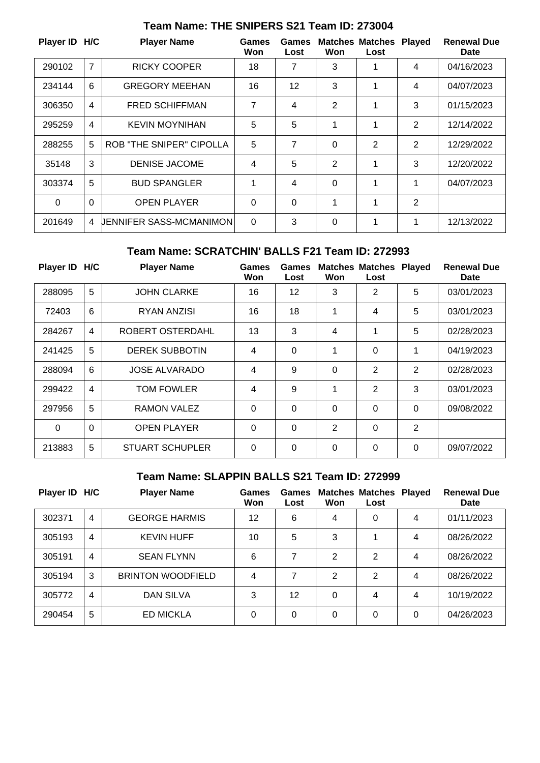| Player ID H/C |                | <b>Player Name</b>              | Games<br>Won | Games<br>Lost | Won            | <b>Matches Matches</b><br>Lost | <b>Played</b>  | <b>Renewal Due</b><br>Date |
|---------------|----------------|---------------------------------|--------------|---------------|----------------|--------------------------------|----------------|----------------------------|
| 290102        | $\overline{7}$ | <b>RICKY COOPER</b>             | 18           | 7             | 3              |                                | 4              | 04/16/2023                 |
| 234144        | 6              | <b>GREGORY MEEHAN</b>           | 16           | 12            | 3              | 1                              | 4              | 04/07/2023                 |
| 306350        | 4              | <b>FRED SCHIFFMAN</b>           | 7            | 4             | $\overline{2}$ | 1                              | 3              | 01/15/2023                 |
| 295259        | 4              | <b>KEVIN MOYNIHAN</b>           | 5            | 5             | 1              | 1                              | 2              | 12/14/2022                 |
| 288255        | 5              | <b>ROB "THE SNIPER" CIPOLLA</b> | 5            | 7             | $\mathbf 0$    | 2                              | $\overline{2}$ | 12/29/2022                 |
| 35148         | 3              | <b>DENISE JACOME</b>            | 4            | 5             | 2              | 1                              | 3              | 12/20/2022                 |
| 303374        | 5              | <b>BUD SPANGLER</b>             | 1            | 4             | 0              | 1                              | 1              | 04/07/2023                 |
| 0             | $\Omega$       | <b>OPEN PLAYER</b>              | 0            | $\Omega$      | 1              | 1                              | $\overline{2}$ |                            |
| 201649        | 4              | UENNIFER SASS-MCMANIMON         | $\Omega$     | 3             | $\mathbf 0$    | 1                              | 1              | 12/13/2022                 |

## **Team Name: THE SNIPERS S21 Team ID: 273004**

#### **Team Name: SCRATCHIN' BALLS F21 Team ID: 272993**

| Player ID H/C |                 | <b>Player Name</b>     | <b>Games</b><br>Won | Games<br>Lost     | Won            | <b>Matches Matches</b><br>Lost | <b>Played</b>  | <b>Renewal Due</b><br>Date |
|---------------|-----------------|------------------------|---------------------|-------------------|----------------|--------------------------------|----------------|----------------------------|
| 288095        | 5               | <b>JOHN CLARKE</b>     | 16                  | $12 \overline{ }$ | 3              | 2                              | 5              | 03/01/2023                 |
| 72403         | $6\phantom{1}6$ | RYAN ANZISI            | 16                  | 18                | 1              | 4                              | 5              | 03/01/2023                 |
| 284267        | $\overline{4}$  | ROBERT OSTERDAHL       | 13                  | 3                 | $\overline{4}$ | 1                              | 5              | 02/28/2023                 |
| 241425        | 5               | <b>DEREK SUBBOTIN</b>  | 4                   | $\mathbf 0$       | 1              | $\Omega$                       | 1              | 04/19/2023                 |
| 288094        | 6               | <b>JOSE ALVARADO</b>   | 4                   | 9                 | $\Omega$       | $\overline{2}$                 | $\overline{2}$ | 02/28/2023                 |
| 299422        | $\overline{4}$  | <b>TOM FOWLER</b>      | 4                   | 9                 | 1              | $\overline{2}$                 | 3              | 03/01/2023                 |
| 297956        | 5               | RAMON VALEZ            | $\Omega$            | 0                 | 0              | $\Omega$                       | $\Omega$       | 09/08/2022                 |
| $\Omega$      | $\Omega$        | <b>OPEN PLAYER</b>     | $\Omega$            | 0                 | $\mathbf{2}$   | $\Omega$                       | 2              |                            |
| 213883        | 5               | <b>STUART SCHUPLER</b> | $\Omega$            | 0                 | 0              | 0                              | $\Omega$       | 09/07/2022                 |

### **Team Name: SLAPPIN BALLS S21 Team ID: 272999**

| Player ID H/C |                | <b>Player Name</b>       | Games<br>Won | Games<br>Lost | Won | <b>Matches Matches</b><br>Lost | <b>Played</b> | <b>Renewal Due</b><br>Date |
|---------------|----------------|--------------------------|--------------|---------------|-----|--------------------------------|---------------|----------------------------|
| 302371        | $\overline{4}$ | <b>GEORGE HARMIS</b>     | 12           | 6             | 4   | 0                              | 4             | 01/11/2023                 |
| 305193        | $\overline{4}$ | <b>KEVIN HUFF</b>        | 10           | 5             | 3   | 4                              | 4             | 08/26/2022                 |
| 305191        | 4              | <b>SEAN FLYNN</b>        | 6            | 7             | 2   | 2                              | 4             | 08/26/2022                 |
| 305194        | 3              | <b>BRINTON WOODFIELD</b> | 4            | 7             | 2   | 2                              | 4             | 08/26/2022                 |
| 305772        | 4              | DAN SILVA                | 3            | 12            | 0   | 4                              | 4             | 10/19/2022                 |
| 290454        | 5              | <b>ED MICKLA</b>         | 0            | 0             | 0   | 0                              | 0             | 04/26/2023                 |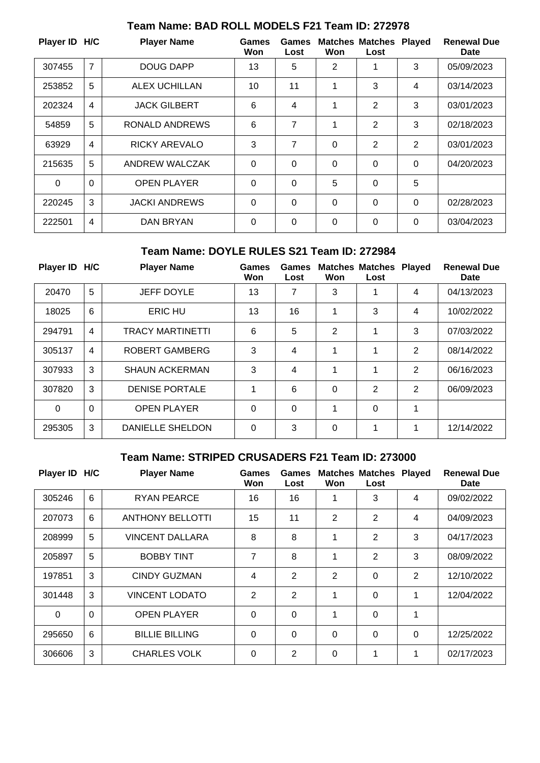| Player ID H/C |                | <b>Player Name</b>   | Games<br>Won   | Games<br>Lost  | Won      | <b>Matches Matches</b><br>Lost | <b>Played</b>  | <b>Renewal Due</b><br>Date |
|---------------|----------------|----------------------|----------------|----------------|----------|--------------------------------|----------------|----------------------------|
| 307455        | 7              | <b>DOUG DAPP</b>     | 13             | 5              | 2        | 1                              | 3              | 05/09/2023                 |
| 253852        | 5              | ALEX UCHILLAN        | 10             | 11             | 1        | 3                              | 4              | 03/14/2023                 |
| 202324        | $\overline{4}$ | <b>JACK GILBERT</b>  | 6              | 4              | 1        | $\overline{2}$                 | 3              | 03/01/2023                 |
| 54859         | 5              | RONALD ANDREWS       | 6              | 7              | 1        | $\overline{2}$                 | 3              | 02/18/2023                 |
| 63929         | $\overline{4}$ | <b>RICKY AREVALO</b> | 3              | 7              | 0        | $\overline{2}$                 | $\overline{2}$ | 03/01/2023                 |
| 215635        | 5              | ANDREW WALCZAK       | $\Omega$       | $\Omega$       | $\Omega$ | 0                              | $\Omega$       | 04/20/2023                 |
| $\Omega$      | $\mathbf 0$    | <b>OPEN PLAYER</b>   | $\overline{0}$ | $\Omega$       | 5        | 0                              | 5              |                            |
| 220245        | 3              | <b>JACKI ANDREWS</b> | $\Omega$       | $\overline{0}$ | 0        | 0                              | $\Omega$       | 02/28/2023                 |
| 222501        | $\overline{4}$ | <b>DAN BRYAN</b>     | $\Omega$       | $\Omega$       | 0        | 0                              | $\Omega$       | 03/04/2023                 |

# **Team Name: BAD ROLL MODELS F21 Team ID: 272978**

#### **Team Name: DOYLE RULES S21 Team ID: 272984**

| Player ID H/C |                | <b>Player Name</b>      | Games<br>Won | Games<br>Lost | Won      | <b>Matches Matches</b><br>Lost | <b>Played</b> | <b>Renewal Due</b><br><b>Date</b> |
|---------------|----------------|-------------------------|--------------|---------------|----------|--------------------------------|---------------|-----------------------------------|
| 20470         | 5              | <b>JEFF DOYLE</b>       | 13           | 7             | 3        |                                | 4             | 04/13/2023                        |
| 18025         | 6              | <b>ERIC HU</b>          | 13           | 16            | 1        | 3                              | 4             | 10/02/2022                        |
| 294791        | 4              | <b>TRACY MARTINETTI</b> | 6            | 5             | 2        | 1                              | 3             | 07/03/2022                        |
| 305137        | 4              | ROBERT GAMBERG          | 3            | 4             | 1        | 1                              | 2             | 08/14/2022                        |
| 307933        | 3              | <b>SHAUN ACKERMAN</b>   | 3            | 4             | 1        | 1                              | 2             | 06/16/2023                        |
| 307820        | 3              | <b>DENISE PORTALE</b>   | 1            | 6             | $\Omega$ | 2                              | 2             | 06/09/2023                        |
| $\Omega$      | $\overline{0}$ | <b>OPEN PLAYER</b>      | $\Omega$     | 0             | 1        | 0                              | 1             |                                   |
| 295305        | 3              | <b>DANIELLE SHELDON</b> | $\Omega$     | 3             | $\Omega$ | 1                              | 1             | 12/14/2022                        |

## **Team Name: STRIPED CRUSADERS F21 Team ID: 273000**

| Player ID H/C |             | <b>Player Name</b>      | <b>Games</b><br>Won | Games<br>Lost  | Won            | <b>Matches Matches</b><br>Lost | <b>Played</b>  | <b>Renewal Due</b><br>Date |
|---------------|-------------|-------------------------|---------------------|----------------|----------------|--------------------------------|----------------|----------------------------|
| 305246        | 6           | <b>RYAN PEARCE</b>      | 16                  | 16             |                | 3                              | 4              | 09/02/2022                 |
| 207073        | 6           | <b>ANTHONY BELLOTTI</b> | 15                  | 11             | 2              | 2                              | 4              | 04/09/2023                 |
| 208999        | 5           | <b>VINCENT DALLARA</b>  | 8                   | 8              | 1              | $\overline{2}$                 | 3              | 04/17/2023                 |
| 205897        | 5           | <b>BOBBY TINT</b>       | 7                   | 8              | 1              | $\overline{2}$                 | 3              | 08/09/2022                 |
| 197851        | 3           | <b>CINDY GUZMAN</b>     | 4                   | $\overline{2}$ | $\overline{2}$ | $\Omega$                       | $\overline{2}$ | 12/10/2022                 |
| 301448        | 3           | <b>VINCENT LODATO</b>   | 2                   | $\overline{2}$ | 1              | $\overline{0}$                 | 1              | 12/04/2022                 |
| $\Omega$      | $\mathbf 0$ | <b>OPEN PLAYER</b>      | $\Omega$            | $\Omega$       | 1              | $\Omega$                       | 1              |                            |
| 295650        | 6           | <b>BILLIE BILLING</b>   | $\Omega$            | $\mathbf 0$    | $\Omega$       | $\Omega$                       | 0              | 12/25/2022                 |
| 306606        | 3           | <b>CHARLES VOLK</b>     | $\Omega$            | $\overline{2}$ | $\Omega$       | 1                              | 1              | 02/17/2023                 |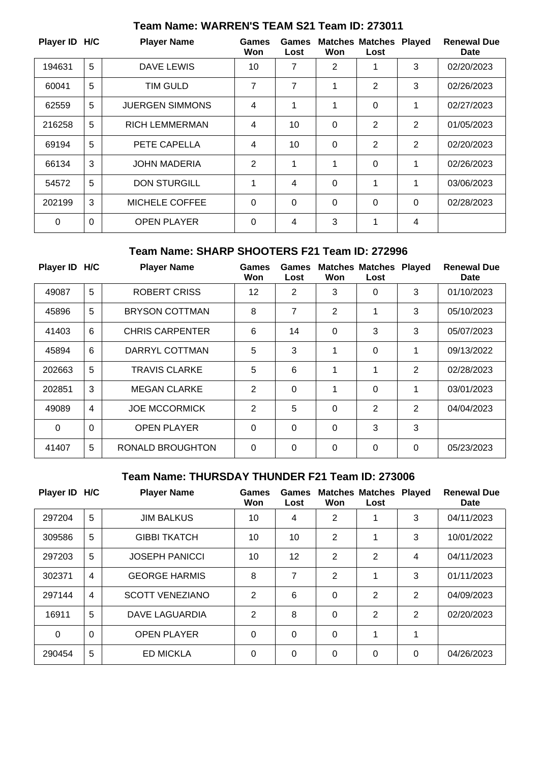| Player ID H/C |                | <b>Player Name</b>     | Games<br>Won | Games<br>Lost | Won | <b>Matches Matches</b><br>Lost | <b>Played</b>  | <b>Renewal Due</b><br>Date |
|---------------|----------------|------------------------|--------------|---------------|-----|--------------------------------|----------------|----------------------------|
| 194631        | 5              | <b>DAVE LEWIS</b>      | 10           | 7             | 2   | 1                              | 3              | 02/20/2023                 |
| 60041         | 5              | <b>TIM GULD</b>        | 7            | 7             | 1   | 2                              | 3              | 02/26/2023                 |
| 62559         | 5              | <b>JUERGEN SIMMONS</b> | 4            | 1             | 1   | 0                              | 1              | 02/27/2023                 |
| 216258        | 5              | <b>RICH LEMMERMAN</b>  | 4            | 10            | 0   | 2                              | 2              | 01/05/2023                 |
| 69194         | 5              | PETE CAPELLA           | 4            | 10            | 0   | 2                              | $\overline{2}$ | 02/20/2023                 |
| 66134         | 3              | <b>JOHN MADERIA</b>    | 2            | 1             | 1   | 0                              | 1              | 02/26/2023                 |
| 54572         | 5              | <b>DON STURGILL</b>    | 1            | 4             | 0   | 1                              | 1              | 03/06/2023                 |
| 202199        | 3              | <b>MICHELE COFFEE</b>  | $\Omega$     | 0             | 0   | 0                              | $\Omega$       | 02/28/2023                 |
| 0             | $\overline{0}$ | <b>OPEN PLAYER</b>     | $\Omega$     | 4             | 3   | 1                              | 4              |                            |

# **Team Name: WARREN'S TEAM S21 Team ID: 273011**

#### **Team Name: SHARP SHOOTERS F21 Team ID: 272996**

| Player ID H/C |                | <b>Player Name</b>      | Games<br>Won      | Games<br>Lost  | Won      | <b>Matches Matches</b><br>Lost | <b>Played</b>  | <b>Renewal Due</b><br>Date |
|---------------|----------------|-------------------------|-------------------|----------------|----------|--------------------------------|----------------|----------------------------|
| 49087         | 5              | <b>ROBERT CRISS</b>     | $12 \overline{ }$ | $\overline{2}$ | 3        | 0                              | 3              | 01/10/2023                 |
| 45896         | 5              | <b>BRYSON COTTMAN</b>   | 8                 | $\overline{7}$ | 2        | 1                              | 3              | 05/10/2023                 |
| 41403         | 6              | <b>CHRIS CARPENTER</b>  | 6                 | 14             | $\Omega$ | 3                              | 3              | 05/07/2023                 |
| 45894         | 6              | DARRYL COTTMAN          | 5                 | 3              | 1        | 0                              | 1              | 09/13/2022                 |
| 202663        | 5              | <b>TRAVIS CLARKE</b>    | 5                 | 6              | 1        | 1                              | 2              | 02/28/2023                 |
| 202851        | 3              | <b>MEGAN CLARKE</b>     | $\overline{2}$    | $\Omega$       | 1        | 0                              | 1              | 03/01/2023                 |
| 49089         | $\overline{4}$ | <b>JOE MCCORMICK</b>    | $\overline{2}$    | 5              | $\Omega$ | 2                              | $\overline{2}$ | 04/04/2023                 |
| 0             | $\Omega$       | <b>OPEN PLAYER</b>      | $\Omega$          | $\overline{0}$ | $\Omega$ | 3                              | 3              |                            |
| 41407         | 5              | <b>RONALD BROUGHTON</b> | $\Omega$          | $\Omega$       | $\Omega$ | 0                              | $\Omega$       | 05/23/2023                 |

### **Team Name: THURSDAY THUNDER F21 Team ID: 273006**

| <b>Player ID</b> | H/C            | <b>Player Name</b>     | <b>Games</b><br>Won | Games<br>Lost | Won            | <b>Matches Matches Played</b><br>Lost |          | <b>Renewal Due</b><br>Date |
|------------------|----------------|------------------------|---------------------|---------------|----------------|---------------------------------------|----------|----------------------------|
| 297204           | 5              | <b>JIM BALKUS</b>      | 10                  | 4             | $\overline{2}$ |                                       | 3        | 04/11/2023                 |
| 309586           | 5              | <b>GIBBI TKATCH</b>    | 10                  | 10            | $\overline{2}$ | 4                                     | 3        | 10/01/2022                 |
| 297203           | 5              | <b>JOSEPH PANICCI</b>  | 10                  | 12            | 2              | $\overline{2}$                        | 4        | 04/11/2023                 |
| 302371           | $\overline{4}$ | <b>GEORGE HARMIS</b>   | 8                   | 7             | 2              | 4                                     | 3        | 01/11/2023                 |
| 297144           | $\overline{4}$ | <b>SCOTT VENEZIANO</b> | $\overline{2}$      | 6             | 0              | 2                                     | 2        | 04/09/2023                 |
| 16911            | 5              | DAVE LAGUARDIA         | 2                   | 8             | 0              | $\overline{2}$                        | 2        | 02/20/2023                 |
| $\Omega$         | $\Omega$       | <b>OPEN PLAYER</b>     | $\Omega$            | 0             | 0              | 1                                     | 1        |                            |
| 290454           | 5              | <b>ED MICKLA</b>       | 0                   | $\mathbf 0$   | 0              | 0                                     | $\Omega$ | 04/26/2023                 |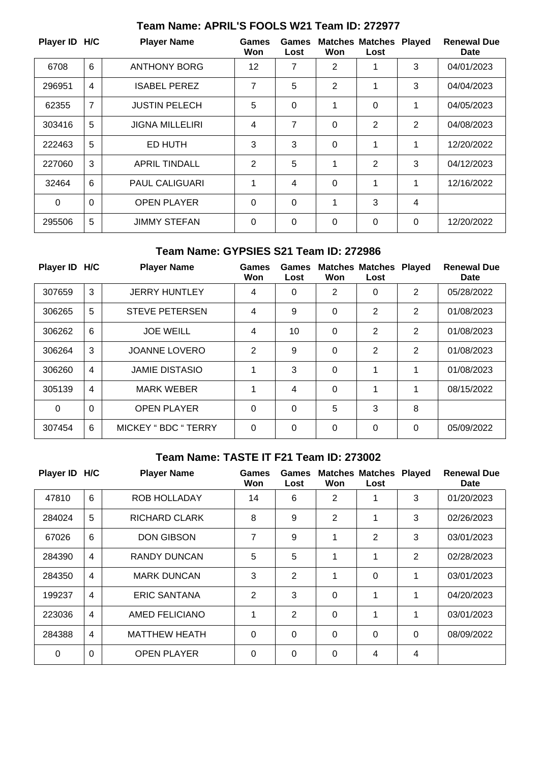| Player ID H/C |                | <b>Player Name</b>     | Games<br>Won | Games<br>Lost | Won            | <b>Matches Matches Played</b><br>Lost |          | <b>Renewal Due</b><br>Date |
|---------------|----------------|------------------------|--------------|---------------|----------------|---------------------------------------|----------|----------------------------|
| 6708          | 6              | <b>ANTHONY BORG</b>    | 12           | 7             | $\overline{2}$ | 1                                     | 3        | 04/01/2023                 |
| 296951        | 4              | ISABEL PEREZ           | 7            | 5             | $\overline{2}$ | 1                                     | 3        | 04/04/2023                 |
| 62355         | $\overline{7}$ | <b>JUSTIN PELECH</b>   | 5            | $\Omega$      | 1              | 0                                     | 1        | 04/05/2023                 |
| 303416        | 5              | <b>JIGNA MILLELIRI</b> | 4            | 7             | $\mathbf 0$    | 2                                     | 2        | 04/08/2023                 |
| 222463        | 5              | ED HUTH                | 3            | 3             | $\mathbf 0$    | 1                                     | 1        | 12/20/2022                 |
| 227060        | 3              | <b>APRIL TINDALL</b>   | 2            | 5             | 1              | 2                                     | 3        | 04/12/2023                 |
| 32464         | 6              | <b>PAUL CALIGUARI</b>  | 1            | 4             | 0              | 1                                     | 1        | 12/16/2022                 |
| $\Omega$      | $\Omega$       | <b>OPEN PLAYER</b>     | $\Omega$     | $\Omega$      | 1              | 3                                     | 4        |                            |
| 295506        | 5              | <b>JIMMY STEFAN</b>    | $\Omega$     | $\Omega$      | 0              | 0                                     | $\Omega$ | 12/20/2022                 |

# **Team Name: APRIL'S FOOLS W21 Team ID: 272977**

#### **Team Name: GYPSIES S21 Team ID: 272986**

|                | <b>Player Name</b>          | Games<br>Won   | Games<br>Lost | Won      | Lost           | <b>Played</b>  | <b>Renewal Due</b><br>Date |
|----------------|-----------------------------|----------------|---------------|----------|----------------|----------------|----------------------------|
| 3              | <b>JERRY HUNTLEY</b>        | 4              | 0             | 2        | 0              | $\overline{2}$ | 05/28/2022                 |
| 5              | <b>STEVE PETERSEN</b>       | 4              | 9             | 0        | $\overline{2}$ | $\overline{2}$ | 01/08/2023                 |
| 6              | <b>JOE WEILL</b>            | 4              | 10            | 0        | $\overline{2}$ | $\overline{2}$ | 01/08/2023                 |
| 3              | <b>JOANNE LOVERO</b>        | $\overline{2}$ | 9             | $\Omega$ | 2              | $\overline{2}$ | 01/08/2023                 |
| $\overline{4}$ | <b>JAMIE DISTASIO</b>       | 1              | 3             | $\Omega$ | 1              | 1              | 01/08/2023                 |
| 4              | <b>MARK WEBER</b>           | 1              | 4             | $\Omega$ | 1              | 1              | 08/15/2022                 |
| $\Omega$       | <b>OPEN PLAYER</b>          | $\mathbf 0$    | $\Omega$      | 5        | 3              | 8              |                            |
| 6              | <b>MICKEY " BDC " TERRY</b> | 0              | $\Omega$      | $\Omega$ | $\Omega$       | 0              | 05/09/2022                 |
|                | Player ID H/C               |                |               |          |                |                | <b>Matches Matches</b>     |

## **Team Name: TASTE IT F21 Team ID: 273002**

| Player ID H/C |                | <b>Player Name</b>   | <b>Games</b><br>Won | Games<br>Lost  | Won            | <b>Matches Matches</b><br>Lost | <b>Played</b> | <b>Renewal Due</b><br>Date |
|---------------|----------------|----------------------|---------------------|----------------|----------------|--------------------------------|---------------|----------------------------|
| 47810         | $6\phantom{1}$ | <b>ROB HOLLADAY</b>  | 14                  | 6              | $\overline{2}$ | 1                              | 3             | 01/20/2023                 |
| 284024        | 5              | <b>RICHARD CLARK</b> | 8                   | 9              | 2              | 1                              | 3             | 02/26/2023                 |
| 67026         | 6              | <b>DON GIBSON</b>    | $\overline{7}$      | 9              | 1              | $\overline{2}$                 | 3             | 03/01/2023                 |
| 284390        | $\overline{4}$ | <b>RANDY DUNCAN</b>  | 5                   | 5              | 1              | 1                              | 2             | 02/28/2023                 |
| 284350        | $\overline{4}$ | <b>MARK DUNCAN</b>   | 3                   | 2              | 1              | $\Omega$                       | 1             | 03/01/2023                 |
| 199237        | $\overline{4}$ | <b>ERIC SANTANA</b>  | 2                   | 3              | $\Omega$       | 1                              | 1             | 04/20/2023                 |
| 223036        | $\overline{4}$ | AMED FELICIANO       | 1                   | 2              | $\Omega$       | 1                              | 1             | 03/01/2023                 |
| 284388        | 4              | <b>MATTHEW HEATH</b> | $\Omega$            | $\overline{0}$ | $\Omega$       | $\Omega$                       | 0             | 08/09/2022                 |
| $\Omega$      | $\Omega$       | <b>OPEN PLAYER</b>   | $\Omega$            | $\Omega$       | 0              | 4                              | 4             |                            |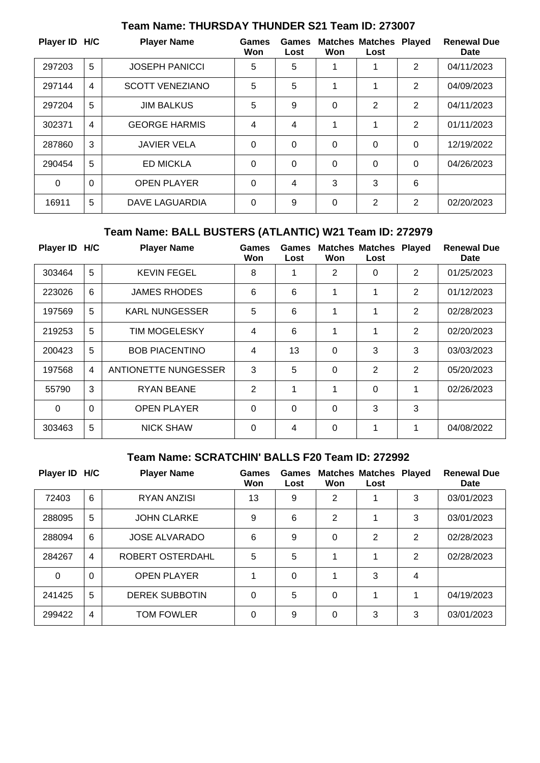| Player ID H/C |                | <b>Player Name</b>     | Games<br>Won | Games<br>Lost | Won | <b>Matches Matches Played</b><br>Lost |                | <b>Renewal Due</b><br><b>Date</b> |
|---------------|----------------|------------------------|--------------|---------------|-----|---------------------------------------|----------------|-----------------------------------|
| 297203        | 5              | <b>JOSEPH PANICCI</b>  | 5            | 5             | 1   | 1                                     | $\overline{2}$ | 04/11/2023                        |
| 297144        | $\overline{4}$ | <b>SCOTT VENEZIANO</b> | 5            | 5             | 1   | 1                                     | $\overline{2}$ | 04/09/2023                        |
| 297204        | 5              | <b>JIM BALKUS</b>      | 5            | 9             | 0   | 2                                     | 2              | 04/11/2023                        |
| 302371        | $\overline{4}$ | <b>GEORGE HARMIS</b>   | 4            | 4             | 1   | 1                                     | 2              | 01/11/2023                        |
| 287860        | 3              | <b>JAVIER VELA</b>     | $\Omega$     | 0             | 0   | 0                                     | $\Omega$       | 12/19/2022                        |
| 290454        | 5              | <b>ED MICKLA</b>       | $\Omega$     | $\Omega$      | 0   | 0                                     | $\Omega$       | 04/26/2023                        |
| 0             | $\Omega$       | <b>OPEN PLAYER</b>     | $\Omega$     | 4             | 3   | 3                                     | 6              |                                   |
| 16911         | 5              | DAVE LAGUARDIA         | $\Omega$     | 9             | 0   | 2                                     | $\overline{2}$ | 02/20/2023                        |

## **Team Name: THURSDAY THUNDER S21 Team ID: 273007**

# **Team Name: BALL BUSTERS (ATLANTIC) W21 Team ID: 272979**

| <b>Player ID</b> | H/C            | <b>Player Name</b>    | Games<br>Won   | Games<br>Lost | Won | <b>Matches Matches Played</b><br>Lost |                | <b>Renewal Due</b><br>Date |
|------------------|----------------|-----------------------|----------------|---------------|-----|---------------------------------------|----------------|----------------------------|
| 303464           | 5              | <b>KEVIN FEGEL</b>    | 8              | 1             | 2   | 0                                     | 2              | 01/25/2023                 |
| 223026           | 6              | <b>JAMES RHODES</b>   | 6              | 6             | 1   | 1                                     | 2              | 01/12/2023                 |
| 197569           | 5              | <b>KARL NUNGESSER</b> | 5              | 6             | 1   | 1                                     | $\overline{2}$ | 02/28/2023                 |
| 219253           | 5              | <b>TIM MOGELESKY</b>  | 4              | 6             | 1   | 1                                     | 2              | 02/20/2023                 |
| 200423           | 5              | <b>BOB PIACENTINO</b> | 4              | 13            | 0   | 3                                     | 3              | 03/03/2023                 |
| 197568           | $\overline{4}$ | ANTIONETTE NUNGESSER  | 3              | 5             | 0   | $\mathbf{2}$                          | $\overline{2}$ | 05/20/2023                 |
| 55790            | 3              | <b>RYAN BEANE</b>     | $\overline{2}$ | 1             | 1   | 0                                     | 1              | 02/26/2023                 |
| $\Omega$         | $\Omega$       | <b>OPEN PLAYER</b>    | $\Omega$       | 0             | 0   | 3                                     | 3              |                            |
| 303463           | 5              | <b>NICK SHAW</b>      | $\Omega$       | 4             | 0   | 1                                     | 1              | 04/08/2022                 |

### **Team Name: SCRATCHIN' BALLS F20 Team ID: 272992**

| Player ID H/C |          | <b>Player Name</b>    | Games<br>Won | <b>Games</b><br>Lost | Won | <b>Matches Matches</b><br>Lost | <b>Played</b> | <b>Renewal Due</b><br>Date |
|---------------|----------|-----------------------|--------------|----------------------|-----|--------------------------------|---------------|----------------------------|
| 72403         | 6        | <b>RYAN ANZISI</b>    | 13           | 9                    | 2   |                                | 3             | 03/01/2023                 |
| 288095        | 5        | <b>JOHN CLARKE</b>    | 9            | 6                    | 2   |                                | 3             | 03/01/2023                 |
| 288094        | 6        | <b>JOSE ALVARADO</b>  | 6            | 9                    | 0   | 2                              | 2             | 02/28/2023                 |
| 284267        | 4        | ROBERT OSTERDAHL      | 5            | 5                    | 1   |                                | 2             | 02/28/2023                 |
| 0             | $\Omega$ | <b>OPEN PLAYER</b>    |              | 0                    |     | 3                              | 4             |                            |
| 241425        | 5        | <b>DEREK SUBBOTIN</b> | 0            | 5                    | 0   |                                | 1             | 04/19/2023                 |
| 299422        | 4        | <b>TOM FOWLER</b>     | 0            | 9                    | 0   | 3                              | 3             | 03/01/2023                 |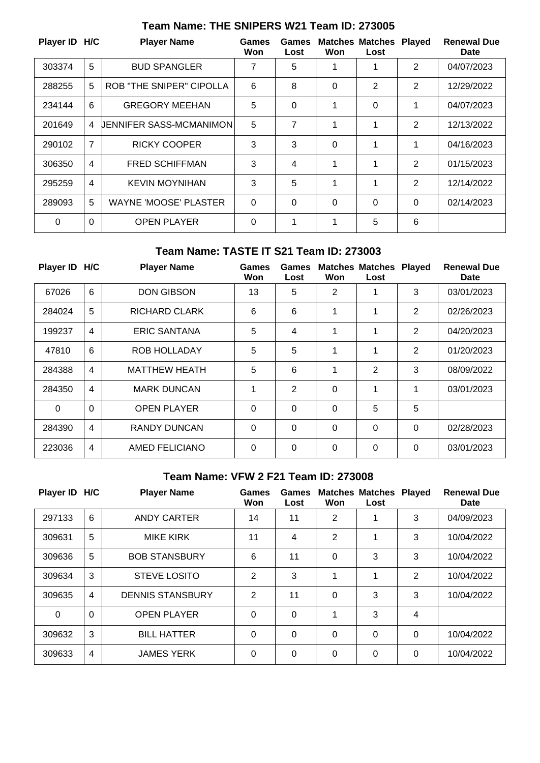| Player ID H/C |                | <b>Player Name</b>              | Games<br>Won | Games<br>Lost | Won         | <b>Matches Matches Played</b><br>Lost |                | <b>Renewal Due</b><br>Date |
|---------------|----------------|---------------------------------|--------------|---------------|-------------|---------------------------------------|----------------|----------------------------|
| 303374        | 5              | <b>BUD SPANGLER</b>             | 7            | 5             | 1           |                                       | 2              | 04/07/2023                 |
| 288255        | 5              | <b>ROB "THE SNIPER" CIPOLLA</b> | 6            | 8             | 0           | 2                                     | 2              | 12/29/2022                 |
| 234144        | 6              | <b>GREGORY MEEHAN</b>           | 5            | $\Omega$      | 1           | 0                                     | 1              | 04/07/2023                 |
| 201649        | 4              | UENNIFER SASS-MCMANIMON         | 5            | 7             | 1           | 1                                     | $\overline{2}$ | 12/13/2022                 |
| 290102        | $\overline{7}$ | <b>RICKY COOPER</b>             | 3            | 3             | $\mathbf 0$ | 1                                     | 1              | 04/16/2023                 |
| 306350        | $\overline{4}$ | <b>FRED SCHIFFMAN</b>           | 3            | 4             | 1           | 1                                     | 2              | 01/15/2023                 |
| 295259        | 4              | <b>KEVIN MOYNIHAN</b>           | 3            | 5             | 1           | 1                                     | 2              | 12/14/2022                 |
| 289093        | 5              | <b>WAYNE 'MOOSE' PLASTER</b>    | $\Omega$     | $\Omega$      | $\Omega$    | 0                                     | $\Omega$       | 02/14/2023                 |
| 0             | $\Omega$       | <b>OPEN PLAYER</b>              | 0            | 1             | 1           | 5                                     | 6              |                            |

# **Team Name: THE SNIPERS W21 Team ID: 273005**

#### **Team Name: TASTE IT S21 Team ID: 273003**

| Player ID H/C |                | <b>Player Name</b>   | Games<br>Won | Games<br>Lost | Won            | <b>Matches Matches</b><br>Lost | <b>Played</b>  | <b>Renewal Due</b><br>Date |
|---------------|----------------|----------------------|--------------|---------------|----------------|--------------------------------|----------------|----------------------------|
| 67026         | 6              | <b>DON GIBSON</b>    | 13           | 5             | $\overline{2}$ | 1                              | 3              | 03/01/2023                 |
| 284024        | 5              | RICHARD CLARK        | 6            | 6             | 1              | 1                              | $\overline{2}$ | 02/26/2023                 |
| 199237        | 4              | <b>ERIC SANTANA</b>  | 5            | 4             | 1              | 1                              | 2              | 04/20/2023                 |
| 47810         | 6              | <b>ROB HOLLADAY</b>  | 5            | 5             | 1              | 1                              | 2              | 01/20/2023                 |
| 284388        | $\overline{4}$ | <b>MATTHEW HEATH</b> | 5            | 6             | 1              | 2                              | 3              | 08/09/2022                 |
| 284350        | 4              | <b>MARK DUNCAN</b>   | 1            | 2             | $\Omega$       | 1                              | 1              | 03/01/2023                 |
| $\Omega$      | $\Omega$       | <b>OPEN PLAYER</b>   | $\Omega$     | 0             | $\Omega$       | 5                              | 5              |                            |
| 284390        | $\overline{4}$ | <b>RANDY DUNCAN</b>  | $\Omega$     | 0             | $\Omega$       | 0                              | $\Omega$       | 02/28/2023                 |
| 223036        | 4              | AMED FELICIANO       | $\Omega$     | 0             | $\Omega$       | 0                              | $\Omega$       | 03/01/2023                 |

#### **Team Name: VFW 2 F21 Team ID: 273008**

| Player ID H/C |          | <b>Player Name</b>      | Games<br>Won   | Games<br>Lost | Won            | <b>Matches Matches</b><br>Lost | Played         | <b>Renewal Due</b><br><b>Date</b> |
|---------------|----------|-------------------------|----------------|---------------|----------------|--------------------------------|----------------|-----------------------------------|
| 297133        | 6        | ANDY CARTER             | 14             | 11            | 2              | 1                              | 3              | 04/09/2023                        |
| 309631        | 5        | <b>MIKE KIRK</b>        | 11             | 4             | $\overline{2}$ | 4                              | 3              | 10/04/2022                        |
| 309636        | 5        | <b>BOB STANSBURY</b>    | 6              | 11            | $\Omega$       | 3                              | 3              | 10/04/2022                        |
| 309634        | 3        | <b>STEVE LOSITO</b>     | $\overline{2}$ | 3             | 1              | 1                              | $\overline{2}$ | 10/04/2022                        |
| 309635        | 4        | <b>DENNIS STANSBURY</b> | $\overline{2}$ | 11            | $\Omega$       | 3                              | 3              | 10/04/2022                        |
| $\Omega$      | $\Omega$ | <b>OPEN PLAYER</b>      | $\Omega$       | $\Omega$      | 1              | 3                              | 4              |                                   |
| 309632        | 3        | <b>BILL HATTER</b>      | $\Omega$       | $\Omega$      | $\Omega$       | 0                              | 0              | 10/04/2022                        |
| 309633        | 4        | <b>JAMES YERK</b>       | 0              | $\Omega$      | 0              | 0                              | 0              | 10/04/2022                        |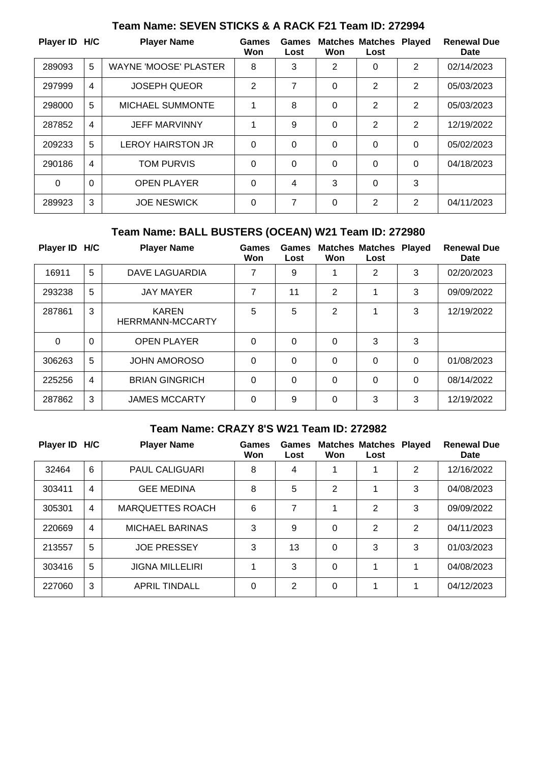| Player ID H/C |                | <b>Player Name</b>           | <b>Games</b><br>Won | Games<br>Lost | Won         | <b>Matches Matches</b><br>Lost | <b>Played</b>  | <b>Renewal Due</b><br><b>Date</b> |
|---------------|----------------|------------------------------|---------------------|---------------|-------------|--------------------------------|----------------|-----------------------------------|
| 289093        | 5              | <b>WAYNE 'MOOSE' PLASTER</b> | 8                   | 3             | 2           | 0                              | $\overline{2}$ | 02/14/2023                        |
| 297999        | 4              | <b>JOSEPH QUEOR</b>          | 2                   | 7             | 0           | 2                              | $\overline{2}$ | 05/03/2023                        |
| 298000        | 5              | <b>MICHAEL SUMMONTE</b>      | 1                   | 8             | 0           | 2                              | 2              | 05/03/2023                        |
| 287852        | 4              | <b>JEFF MARVINNY</b>         | 1                   | 9             | $\mathbf 0$ | 2                              | 2              | 12/19/2022                        |
| 209233        | 5              | <b>LEROY HAIRSTON JR</b>     | 0                   | 0             | 0           | 0                              | $\Omega$       | 05/02/2023                        |
| 290186        | $\overline{4}$ | <b>TOM PURVIS</b>            | $\Omega$            | 0             | 0           | 0                              | $\Omega$       | 04/18/2023                        |
| $\Omega$      | $\Omega$       | <b>OPEN PLAYER</b>           | $\Omega$            | 4             | 3           | 0                              | 3              |                                   |
| 289923        | 3              | <b>JOE NESWICK</b>           | 0                   | 7             | 0           | 2                              | 2              | 04/11/2023                        |

# **Team Name: SEVEN STICKS & A RACK F21 Team ID: 272994**

# **Team Name: BALL BUSTERS (OCEAN) W21 Team ID: 272980**

| Player ID H/C |                | <b>Player Name</b>                      | Games<br>Won | Games<br>Lost | Won      | <b>Matches Matches Played</b><br>Lost |          | <b>Renewal Due</b><br>Date |
|---------------|----------------|-----------------------------------------|--------------|---------------|----------|---------------------------------------|----------|----------------------------|
| 16911         | 5              | DAVE LAGUARDIA                          | 7            | 9             |          | 2                                     | 3        | 02/20/2023                 |
| 293238        | 5              | <b>JAY MAYER</b>                        | 7            | 11            | 2        |                                       | 3        | 09/09/2022                 |
| 287861        | 3              | <b>KAREN</b><br><b>HERRMANN-MCCARTY</b> | 5            | 5             | 2        | 1                                     | 3        | 12/19/2022                 |
| $\Omega$      | $\Omega$       | <b>OPEN PLAYER</b>                      | $\Omega$     | $\Omega$      | $\Omega$ | 3                                     | 3        |                            |
| 306263        | 5              | <b>JOHN AMOROSO</b>                     | $\Omega$     | $\Omega$      | $\Omega$ | 0                                     | $\Omega$ | 01/08/2023                 |
| 225256        | $\overline{4}$ | <b>BRIAN GINGRICH</b>                   | $\Omega$     | $\mathbf{0}$  | $\Omega$ | 0                                     | $\Omega$ | 08/14/2022                 |
| 287862        | 3              | <b>JAMES MCCARTY</b>                    | $\Omega$     | 9             | $\Omega$ | 3                                     | 3        | 12/19/2022                 |

#### **Team Name: CRAZY 8'S W21 Team ID: 272982**

| Player ID H/C |                | <b>Player Name</b>      | Games<br>Won | Games<br>Lost | Won      | <b>Matches Matches</b><br>Lost | <b>Played</b> | <b>Renewal Due</b><br>Date |
|---------------|----------------|-------------------------|--------------|---------------|----------|--------------------------------|---------------|----------------------------|
| 32464         | 6              | <b>PAUL CALIGUARI</b>   | 8            | 4             |          |                                | 2             | 12/16/2022                 |
| 303411        | 4              | <b>GEE MEDINA</b>       | 8            | 5             | 2        |                                | 3             | 04/08/2023                 |
| 305301        | $\overline{4}$ | <b>MARQUETTES ROACH</b> | 6            | 7             |          | 2                              | 3             | 09/09/2022                 |
| 220669        | 4              | <b>MICHAEL BARINAS</b>  | 3            | 9             | $\Omega$ | 2                              | 2             | 04/11/2023                 |
| 213557        | 5              | <b>JOE PRESSEY</b>      | 3            | 13            | $\Omega$ | 3                              | 3             | 01/03/2023                 |
| 303416        | 5              | <b>JIGNA MILLELIRI</b>  | 1            | 3             | $\Omega$ | 1                              | 1             | 04/08/2023                 |
| 227060        | 3              | <b>APRIL TINDALL</b>    | 0            | 2             | 0        | 1                              | 1             | 04/12/2023                 |